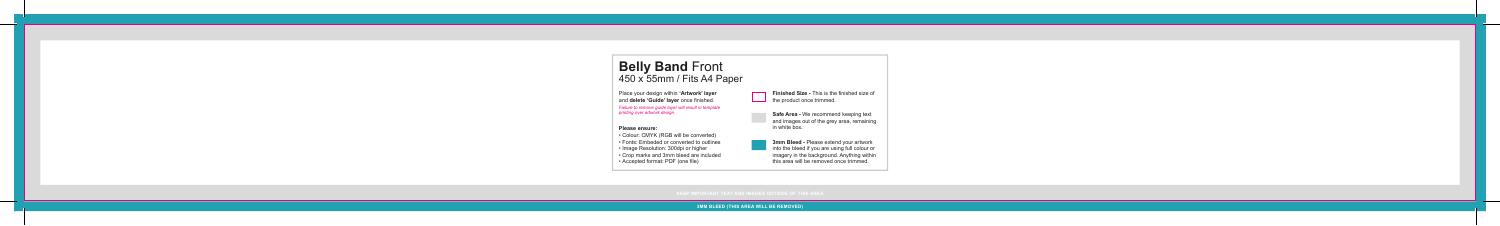**3MM BLEED (THIS AREA WILL BE REMOVED)** 



## **Belly Band** Front 450 x 55mm / Fits A4 Paper

• Colour: CMYK (RGB will be converted) • Fonts: Embeded or converted to outlines • Image Resolution: 300dpi or higher • Crop marks and 3mm bleed are included • Accepted format: PDF (one file)

**Please ensure:** 

**Finished Size - This is the finished size of** the product once trimmed.

> **Safe Area -** We recommend keeping text and images out of the grey area, remaining in white box.

**3mm Bleed -** Please extend your artwork into the bleed if you are using full colour or imagery in the background. Anything within this area will be removed once trimmed.

Place your design within **'Artwork' layer** and **delete 'Guide' layer** once finished. *Failure to remove guide layer will result in template printing over artwork design.*